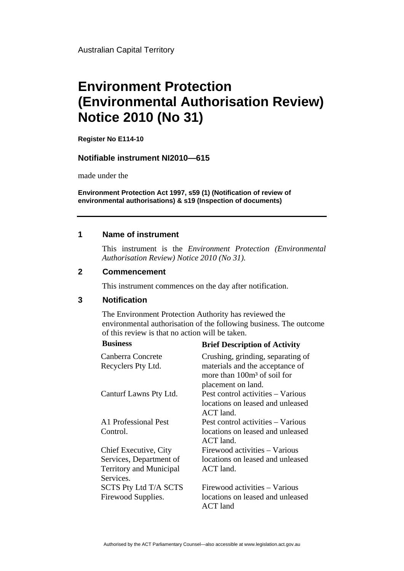Australian Capital Territory

# **Environment Protection (Environmental Authorisation Review) Notice 2010 (No 31)**

**Register No E114-10**

#### **Notifiable instrument NI2010—615**

made under the

**Environment Protection Act 1997, s59 (1) (Notification of review of environmental authorisations) & s19 (Inspection of documents)**

#### **1 Name of instrument**

This instrument is the *Environment Protection (Environmental Authorisation Review) Notice 2010 (No 31).* 

#### **2 Commencement**

This instrument commences on the day after notification.

### **3 Notification**

The Environment Protection Authority has reviewed the environmental authorisation of the following business. The outcome of this review is that no action will be taken.<br>  $\mathbf{P}_{\text{min}}$ 

| <b>Business</b>                | <b>Brief Description of Activity</b>                                                   |
|--------------------------------|----------------------------------------------------------------------------------------|
| Canberra Concrete              | Crushing, grinding, separating of                                                      |
| Recyclers Pty Ltd.             | materials and the acceptance of<br>more than $100m3$ of soil for<br>placement on land. |
| Canturf Lawns Pty Ltd.         | Pest control activities – Various<br>locations on leased and unleased<br>$ACT$ land.   |
| A1 Professional Pest           | Pest control activities - Various                                                      |
| Control.                       | locations on leased and unleased<br>$ACT$ land.                                        |
| Chief Executive, City          | Firewood activities – Various                                                          |
| Services, Department of        | locations on leased and unleased                                                       |
| <b>Territory and Municipal</b> | ACT land.                                                                              |
| Services.                      |                                                                                        |
| <b>SCTS Pty Ltd T/A SCTS</b>   | Firewood activities – Various                                                          |
| Firewood Supplies.             | locations on leased and unleased<br><b>ACT</b> land                                    |